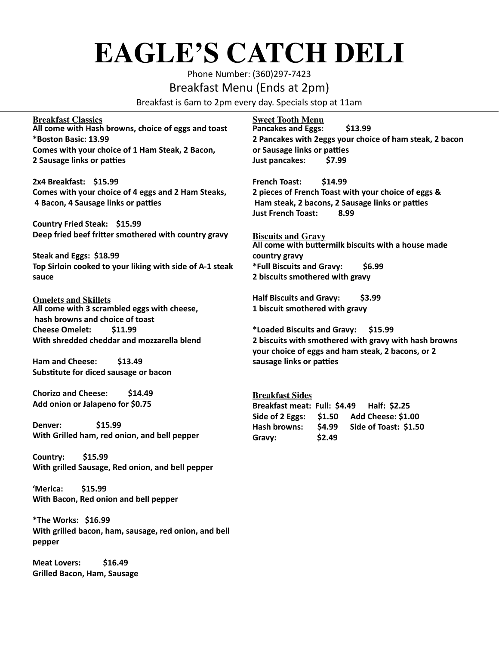# **EAGLE'S CATCH DELI**

Phone Number: (360)297-7423

Breakfast Menu (Ends at 2pm)

Breakfast is 6am to 2pm every day. Specials stop at 11am

**Breakfast Classics All come with Hash browns, choice of eggs and toast \*Boston Basic: 13.99 Comes with your choice of 1 Ham Steak, 2 Bacon, 2 Sausage links or patties**

**2x4 Breakfast: \$15.99 Comes with your choice of 4 eggs and 2 Ham Steaks, 4 Bacon, 4 Sausage links or patties**

**Country Fried Steak: \$15.99 Deep fried beef fritter smothered with country gravy**

**Steak and Eggs: \$18.99 Top Sirloin cooked to your liking with side of A-1 steak sauce**

**Omelets and Skillets All come with 3 scrambled eggs with cheese, hash browns and choice of toast Cheese Omelet: \$11.99 With shredded cheddar and mozzarella blend**

**Ham and Cheese: \$13.49 Substitute for diced sausage or bacon**

**Chorizo and Cheese: \$14.49 Add onion or Jalapeno for \$0.75**

**Denver: \$15.99 With Grilled ham, red onion, and bell pepper**

**Country: \$15.99 With grilled Sausage, Red onion, and bell pepper** 

**'Merica: \$15.99 With Bacon, Red onion and bell pepper**

**\*The Works: \$16.99 With grilled bacon, ham, sausage, red onion, and bell pepper**

**Meat Lovers: \$16.49 Grilled Bacon, Ham, Sausage** **Sweet Tooth Menu Pancakes and Eggs: \$13.99 2 Pancakes with 2eggs your choice of ham steak, 2 bacon or Sausage links or patties Just pancakes: \$7.99**

**French Toast: \$14.99 2 pieces of French Toast with your choice of eggs & Ham steak, 2 bacons, 2 Sausage links or patties Just French Toast: 8.99**

**Biscuits and Gravy All come with buttermilk biscuits with a house made country gravy \*Full Biscuits and Gravy: \$6.99 2 biscuits smothered with gravy**

**Half Biscuits and Gravy: \$3.99 1 biscuit smothered with gravy**

**\*Loaded Biscuits and Gravy: \$15.99 2 biscuits with smothered with gravy with hash browns your choice of eggs and ham steak, 2 bacons, or 2 sausage links or patties**

**Breakfast Sides Breakfast meat: Full: \$4.49 Half: \$2.25 Side of 2 Eggs: \$1.50 Add Cheese: \$1.00 Hash browns: \$4.99 Side of Toast: \$1.50 Gravy: \$2.49**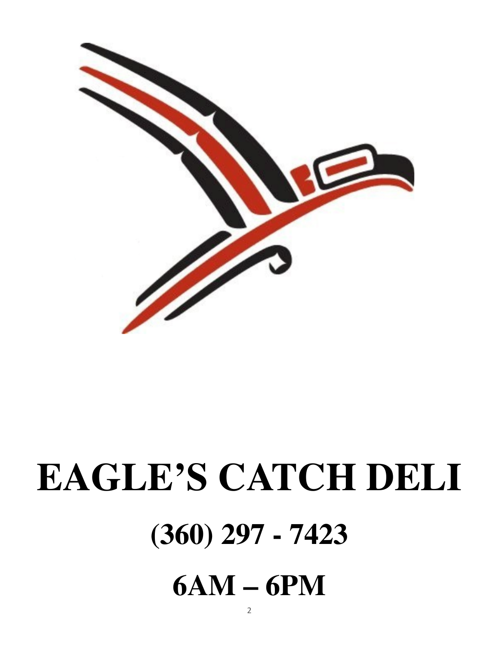

# **EAGLE'S CATCH DELI (360) 297 - 7423 6AM – 6PM**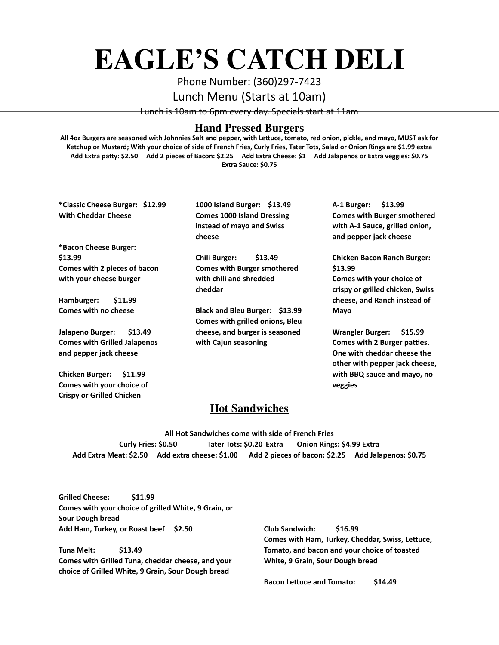# **EAGLE'S CATCH DELI**

Phone Number: (360)297-7423

#### Lunch Menu (Starts at 10am)

Lunch is 10am to 6pm every day. Specials start at 11am

#### **Hand Pressed Burgers**

**All 4oz Burgers are seasoned with Johnnies Salt and pepper, with Lettuce, tomato, red onion, pickle, and mayo, MUST ask for Ketchup or Mustard; With your choice of side of French Fries, Curly Fries, Tater Tots, Salad or Onion Rings are \$1.99 extra Add Extra patty: \$2.50 Add 2 pieces of Bacon: \$2.25 Add Extra Cheese: \$1 Add Jalapenos or Extra veggies: \$0.75 Extra Sauce: \$0.75**

**\*Classic Cheese Burger: \$12.99 With Cheddar Cheese**

**\*Bacon Cheese Burger: \$13.99 Comes with 2 pieces of bacon with your cheese burger**

**Hamburger: \$11.99 Comes with no cheese**

**Jalapeno Burger: \$13.49 Comes with Grilled Jalapenos and pepper jack cheese**

**Chicken Burger: \$11.99 Comes with your choice of Crispy or Grilled Chicken** 

**1000 Island Burger: \$13.49 Comes 1000 Island Dressing instead of mayo and Swiss cheese**

**Chili Burger: \$13.49 Comes with Burger smothered with chili and shredded cheddar** 

**Black and Bleu Burger: \$13.99 Comes with grilled onions, Bleu cheese, and burger is seasoned with Cajun seasoning**

**A-1 Burger: \$13.99 Comes with Burger smothered with A-1 Sauce, grilled onion, and pepper jack cheese**

**Chicken Bacon Ranch Burger: \$13.99 Comes with your choice of crispy or grilled chicken, Swiss cheese, and Ranch instead of** 

**Mayo**

**Wrangler Burger: \$15.99 Comes with 2 Burger patties. One with cheddar cheese the other with pepper jack cheese, with BBQ sauce and mayo, no veggies** 

#### **Hot Sandwiches**

**All Hot Sandwiches come with side of French Fries Curly Fries: \$0.50 Tater Tots: \$0.20 Extra Onion Rings: \$4.99 Extra Add Extra Meat: \$2.50 Add extra cheese: \$1.00 Add 2 pieces of bacon: \$2.25 Add Jalapenos: \$0.75**

**Grilled Cheese: \$11.99 Comes with your choice of grilled White, 9 Grain, or Sour Dough bread Add Ham, Turkey, or Roast beef \$2.50**

**Tuna Melt: \$13.49 Comes with Grilled Tuna, cheddar cheese, and your choice of Grilled White, 9 Grain, Sour Dough bread**

**Club Sandwich: \$16.99 Comes with Ham, Turkey, Cheddar, Swiss, Lettuce, Tomato, and bacon and your choice of toasted White, 9 Grain, Sour Dough bread**

**Bacon Lettuce and Tomato: \$14.49**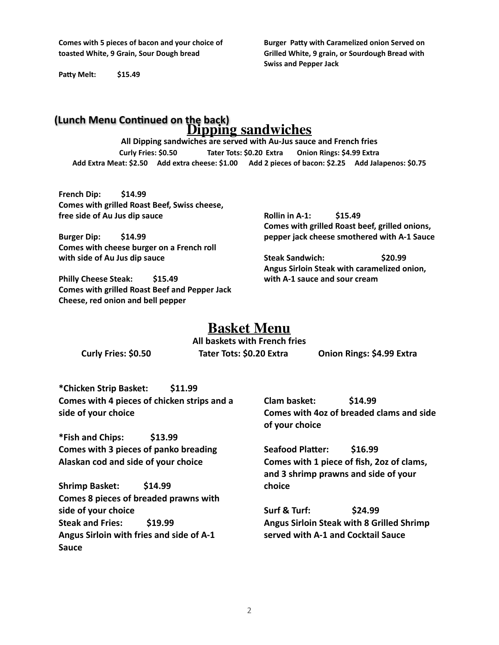**Comes with 5 pieces of bacon and your choice of toasted White, 9 Grain, Sour Dough bread**

**Patty Melt: \$15.49**

**Burger Patty with Caramelized onion Served on Grilled White, 9 grain, or Sourdough Bread with Swiss and Pepper Jack**

#### **Dipping sandwiches (Lunch Menu Continued on the back)**

**All Dipping sandwiches are served with Au-Jus sauce and French fries Curly Fries: \$0.50 Tater Tots: \$0.20 Extra Onion Rings: \$4.99 Extra Add Extra Meat: \$2.50 Add extra cheese: \$1.00 Add 2 pieces of bacon: \$2.25 Add Jalapenos: \$0.75** 

**French Dip: \$14.99 Comes with grilled Roast Beef, Swiss cheese, free side of Au Jus dip sauce**

**Burger Dip: \$14.99 Comes with cheese burger on a French roll with side of Au Jus dip sauce**

**Philly Cheese Steak: \$15.49 Comes with grilled Roast Beef and Pepper Jack Cheese, red onion and bell pepper** 

**Rollin in A-1: \$15.49 Comes with grilled Roast beef, grilled onions, pepper jack cheese smothered with A-1 Sauce**

**Steak Sandwich: \$20.99 Angus Sirloin Steak with caramelized onion, with A-1 sauce and sour cream**

### **Basket Menu**

|                     | All baskets with French fries |                           |
|---------------------|-------------------------------|---------------------------|
| Curly Fries: \$0.50 | Tater Tots: \$0.20 Extra      | Onion Rings: \$4.99 Extra |

**\*Chicken Strip Basket: \$11.99 Comes with 4 pieces of chicken strips and a side of your choice**

**\*Fish and Chips: \$13.99 Comes with 3 pieces of panko breading Alaskan cod and side of your choice**

**Shrimp Basket: \$14.99 Comes 8 pieces of breaded prawns with side of your choice Steak and Fries: \$19.99 Angus Sirloin with fries and side of A-1 Sauce**

**Clam basket: \$14.99 Comes with 4oz of breaded clams and side of your choice**

**Seafood Platter: \$16.99 Comes with 1 piece of fish, 2oz of clams, and 3 shrimp prawns and side of your choice**

**Surf & Turf: \$24.99 Angus Sirloin Steak with 8 Grilled Shrimp served with A-1 and Cocktail Sauce**